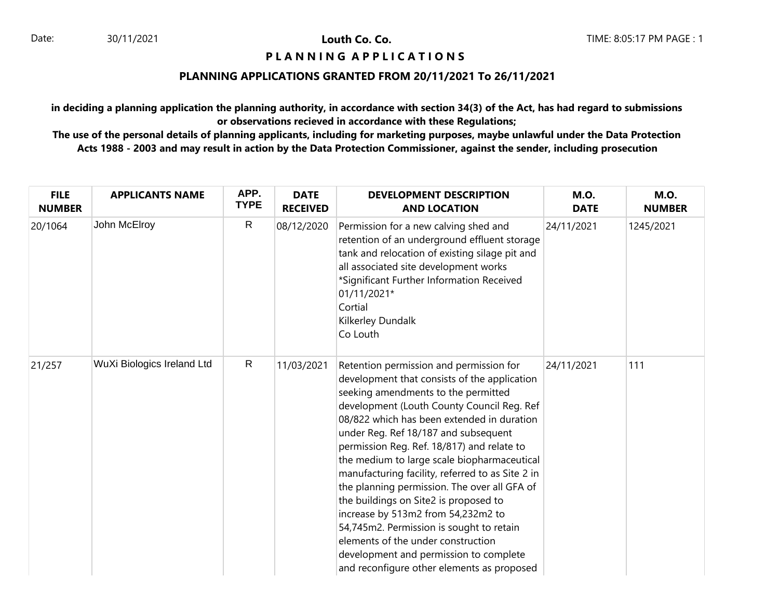## **PIANNING APPLICATIONS**

### **PLANNING APPLICATIONS GRANTED FROM 20/11/2021 To 26/11/2021**

**in deciding a planning application the planning authority, in accordance with section 34(3) of the Act, has had regard to submissions or observations recieved in accordance with these Regulations;**

| <b>FILE</b><br><b>NUMBER</b> | <b>APPLICANTS NAME</b>     | APP.<br><b>TYPE</b> | <b>DATE</b><br><b>RECEIVED</b> | <b>DEVELOPMENT DESCRIPTION</b><br><b>AND LOCATION</b>                                                                                                                                                                                                                                                                                                                                                                                                                                                                                                                                                                                                                                                                        | <b>M.O.</b><br><b>DATE</b> | <b>M.O.</b><br><b>NUMBER</b> |
|------------------------------|----------------------------|---------------------|--------------------------------|------------------------------------------------------------------------------------------------------------------------------------------------------------------------------------------------------------------------------------------------------------------------------------------------------------------------------------------------------------------------------------------------------------------------------------------------------------------------------------------------------------------------------------------------------------------------------------------------------------------------------------------------------------------------------------------------------------------------------|----------------------------|------------------------------|
| 20/1064                      | John McElroy               | $\mathsf{R}$        | 08/12/2020                     | Permission for a new calving shed and<br>retention of an underground effluent storage<br>tank and relocation of existing silage pit and<br>all associated site development works<br>*Significant Further Information Received<br>01/11/2021*<br>Cortial<br>Kilkerley Dundalk<br>Co Louth                                                                                                                                                                                                                                                                                                                                                                                                                                     | 24/11/2021                 | 1245/2021                    |
| 21/257                       | WuXi Biologics Ireland Ltd | $\mathsf{R}$        | 11/03/2021                     | Retention permission and permission for<br>development that consists of the application<br>seeking amendments to the permitted<br>development (Louth County Council Reg. Ref<br>08/822 which has been extended in duration<br>under Reg. Ref 18/187 and subsequent<br>permission Reg. Ref. 18/817) and relate to<br>the medium to large scale biopharmaceutical<br>manufacturing facility, referred to as Site 2 in<br>the planning permission. The over all GFA of<br>the buildings on Site2 is proposed to<br>increase by 513m2 from 54,232m2 to<br>54,745m2. Permission is sought to retain<br>elements of the under construction<br>development and permission to complete<br>and reconfigure other elements as proposed | 24/11/2021                 | 111                          |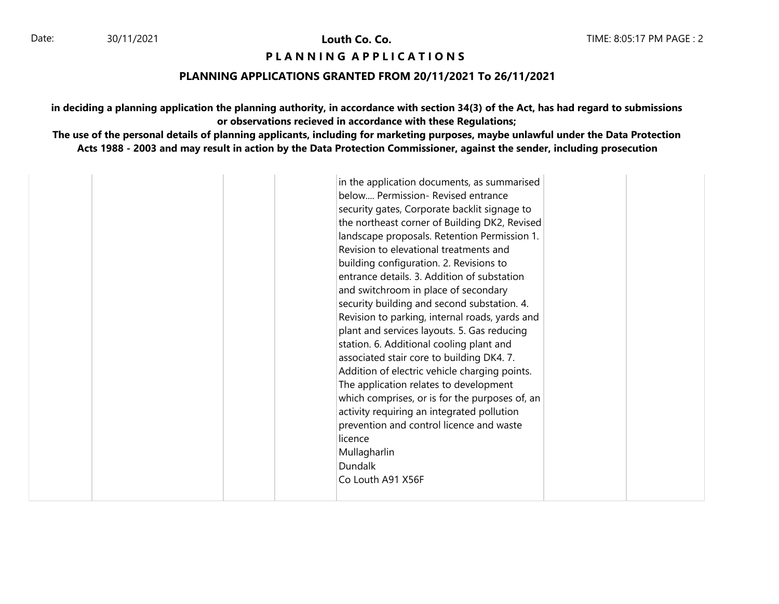## **PIANNING APPLICATIONS**

### **PLANNING APPLICATIONS GRANTED FROM 20/11/2021 To 26/11/2021**

**in deciding a planning application the planning authority, in accordance with section 34(3) of the Act, has had regard to submissions or observations recieved in accordance with these Regulations;**

| in the application documents, as summarised<br>below Permission- Revised entrance |
|-----------------------------------------------------------------------------------|
|-----------------------------------------------------------------------------------|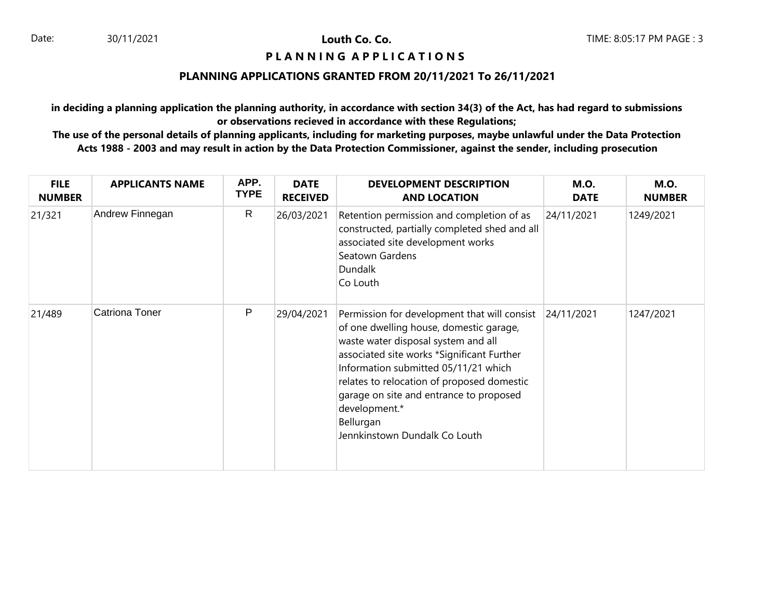## **PIANNING APPLICATIONS**

# **PLANNING APPLICATIONS GRANTED FROM 20/11/2021 To 26/11/2021**

**in deciding a planning application the planning authority, in accordance with section 34(3) of the Act, has had regard to submissions or observations recieved in accordance with these Regulations;**

| <b>FILE</b><br><b>NUMBER</b> | <b>APPLICANTS NAME</b> | APP.<br><b>TYPE</b> | <b>DATE</b><br><b>RECEIVED</b> | <b>DEVELOPMENT DESCRIPTION</b><br><b>AND LOCATION</b>                                                                                                                                                                                                                                                                                                                        | <b>M.O.</b><br><b>DATE</b> | <b>M.O.</b><br><b>NUMBER</b> |
|------------------------------|------------------------|---------------------|--------------------------------|------------------------------------------------------------------------------------------------------------------------------------------------------------------------------------------------------------------------------------------------------------------------------------------------------------------------------------------------------------------------------|----------------------------|------------------------------|
| 21/321                       | Andrew Finnegan        | $\mathsf{R}$        | 26/03/2021                     | Retention permission and completion of as<br>constructed, partially completed shed and all<br>associated site development works<br>Seatown Gardens<br>Dundalk<br>Co Louth                                                                                                                                                                                                    | 24/11/2021                 | 1249/2021                    |
| 21/489                       | <b>Catriona Toner</b>  | P                   | 29/04/2021                     | Permission for development that will consist<br>of one dwelling house, domestic garage,<br>waste water disposal system and all<br>associated site works *Significant Further<br>Information submitted 05/11/21 which<br>relates to relocation of proposed domestic<br>garage on site and entrance to proposed<br>development.*<br>Bellurgan<br>Jennkinstown Dundalk Co Louth | 24/11/2021                 | 1247/2021                    |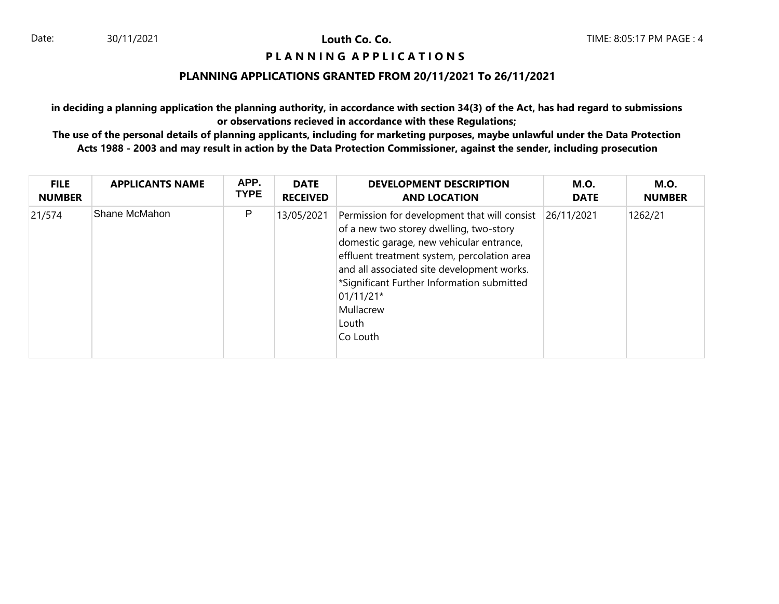### **PIANNING APPLICATIONS**

### **PLANNING APPLICATIONS GRANTED FROM 20/11/2021 To 26/11/2021**

**in deciding a planning application the planning authority, in accordance with section 34(3) of the Act, has had regard to submissions or observations recieved in accordance with these Regulations;**

| <b>FILE</b>   | <b>APPLICANTS NAME</b> | APP.        | <b>DATE</b>     | <b>DEVELOPMENT DESCRIPTION</b>                                                                                                                                                                                                                                                                                                  | <b>M.O.</b> | <b>M.O.</b>   |
|---------------|------------------------|-------------|-----------------|---------------------------------------------------------------------------------------------------------------------------------------------------------------------------------------------------------------------------------------------------------------------------------------------------------------------------------|-------------|---------------|
| <b>NUMBER</b> |                        | <b>TYPE</b> | <b>RECEIVED</b> | <b>AND LOCATION</b>                                                                                                                                                                                                                                                                                                             | <b>DATE</b> | <b>NUMBER</b> |
| 21/574        | Shane McMahon          | P           | 13/05/2021      | Permission for development that will consist<br>of a new two storey dwelling, two-story<br>domestic garage, new vehicular entrance,<br>effluent treatment system, percolation area<br>and all associated site development works.<br>*Significant Further Information submitted<br>$01/11/21*$<br>Mullacrew<br>Louth<br>Co Louth | 26/11/2021  | 1262/21       |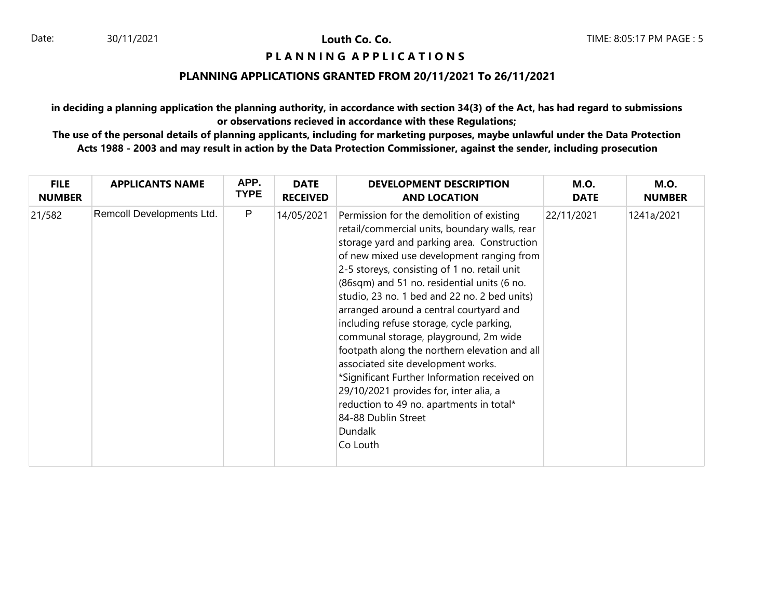## **PIANNING APPLICATIONS**

### **PLANNING APPLICATIONS GRANTED FROM 20/11/2021 To 26/11/2021**

**in deciding a planning application the planning authority, in accordance with section 34(3) of the Act, has had regard to submissions or observations recieved in accordance with these Regulations;**

| <b>FILE</b>   | <b>APPLICANTS NAME</b>    | APP.         | <b>DATE</b>     | <b>DEVELOPMENT DESCRIPTION</b>                                                                                                                                                                                                                                                                                                                                                                                                                                                                                                                                                                                                                                                                                                                          | <b>M.O.</b> | <b>M.O.</b>   |
|---------------|---------------------------|--------------|-----------------|---------------------------------------------------------------------------------------------------------------------------------------------------------------------------------------------------------------------------------------------------------------------------------------------------------------------------------------------------------------------------------------------------------------------------------------------------------------------------------------------------------------------------------------------------------------------------------------------------------------------------------------------------------------------------------------------------------------------------------------------------------|-------------|---------------|
| <b>NUMBER</b> |                           | <b>TYPE</b>  | <b>RECEIVED</b> | <b>AND LOCATION</b>                                                                                                                                                                                                                                                                                                                                                                                                                                                                                                                                                                                                                                                                                                                                     | <b>DATE</b> | <b>NUMBER</b> |
| 21/582        | Remcoll Developments Ltd. | $\mathsf{P}$ | 14/05/2021      | Permission for the demolition of existing<br>retail/commercial units, boundary walls, rear<br>storage yard and parking area. Construction<br>of new mixed use development ranging from<br>2-5 storeys, consisting of 1 no. retail unit<br>(86sqm) and 51 no. residential units (6 no.<br>studio, 23 no. 1 bed and 22 no. 2 bed units)<br>arranged around a central courtyard and<br>including refuse storage, cycle parking,<br>communal storage, playground, 2m wide<br>footpath along the northern elevation and all<br>associated site development works.<br>*Significant Further Information received on<br>29/10/2021 provides for, inter alia, a<br>reduction to 49 no. apartments in total*<br>84-88 Dublin Street<br><b>Dundalk</b><br>Co Louth | 22/11/2021  | 1241a/2021    |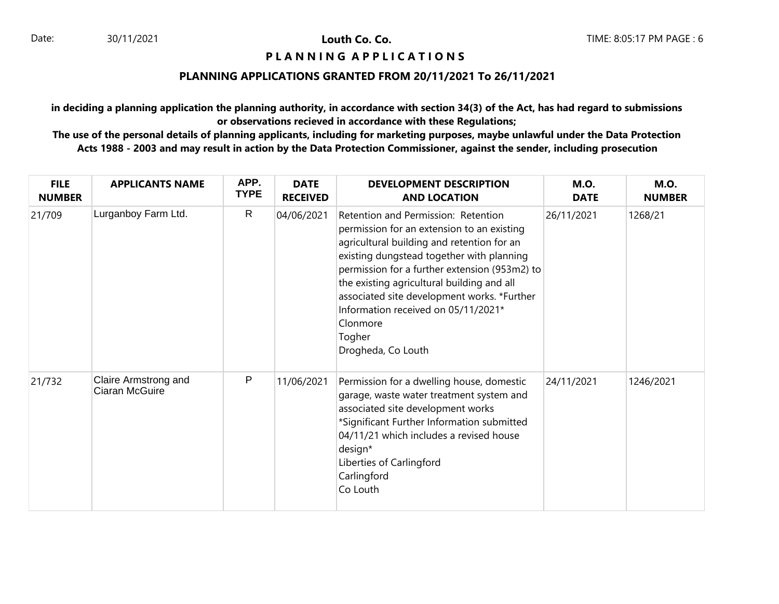## **PIANNING APPLICATIONS**

#### **PLANNING APPLICATIONS GRANTED FROM 20/11/2021 To 26/11/2021**

**in deciding a planning application the planning authority, in accordance with section 34(3) of the Act, has had regard to submissions or observations recieved in accordance with these Regulations;**

| <b>FILE</b><br><b>NUMBER</b> | <b>APPLICANTS NAME</b>                 | APP.<br><b>TYPE</b> | <b>DATE</b><br><b>RECEIVED</b> | <b>DEVELOPMENT DESCRIPTION</b><br><b>AND LOCATION</b>                                                                                                                                                                                                                                                                                                                                                         | <b>M.O.</b><br><b>DATE</b> | <b>M.O.</b><br><b>NUMBER</b> |
|------------------------------|----------------------------------------|---------------------|--------------------------------|---------------------------------------------------------------------------------------------------------------------------------------------------------------------------------------------------------------------------------------------------------------------------------------------------------------------------------------------------------------------------------------------------------------|----------------------------|------------------------------|
| 21/709                       | Lurganboy Farm Ltd.                    | $\mathsf{R}$        | 04/06/2021                     | Retention and Permission: Retention<br>permission for an extension to an existing<br>agricultural building and retention for an<br>existing dungstead together with planning<br>permission for a further extension (953m2) to<br>the existing agricultural building and all<br>associated site development works. *Further<br>Information received on 05/11/2021*<br>Clonmore<br>Togher<br>Drogheda, Co Louth | 26/11/2021                 | 1268/21                      |
| 21/732                       | Claire Armstrong and<br>Ciaran McGuire | P                   | 11/06/2021                     | Permission for a dwelling house, domestic<br>garage, waste water treatment system and<br>associated site development works<br>*Significant Further Information submitted<br>04/11/21 which includes a revised house<br>design*<br>Liberties of Carlingford<br>Carlingford<br>Co Louth                                                                                                                         | 24/11/2021                 | 1246/2021                    |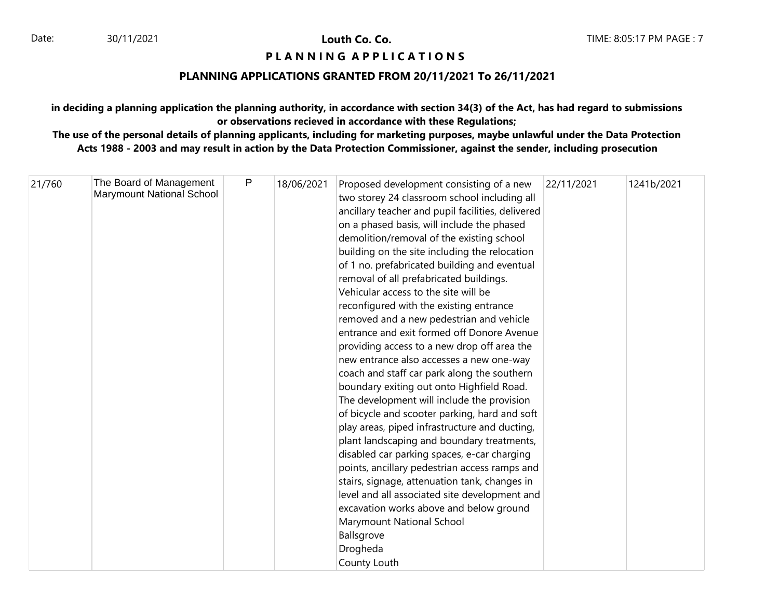## **P L A N N I N G A P P L I C A T I O N S**

## **PLANNING APPLICATIONS GRANTED FROM 20/11/2021 To 26/11/2021**

**in deciding a planning application the planning authority, in accordance with section 34(3) of the Act, has had regard to submissions or observations recieved in accordance with these Regulations;**

| 21/760 | The Board of Management<br>Marymount National School | P | 18/06/2021 | Proposed development consisting of a new<br>two storey 24 classroom school including all<br>ancillary teacher and pupil facilities, delivered<br>on a phased basis, will include the phased<br>demolition/removal of the existing school<br>building on the site including the relocation<br>of 1 no. prefabricated building and eventual<br>removal of all prefabricated buildings.<br>Vehicular access to the site will be<br>reconfigured with the existing entrance<br>removed and a new pedestrian and vehicle<br>entrance and exit formed off Donore Avenue<br>providing access to a new drop off area the<br>new entrance also accesses a new one-way<br>coach and staff car park along the southern<br>boundary exiting out onto Highfield Road.<br>The development will include the provision<br>of bicycle and scooter parking, hard and soft<br>play areas, piped infrastructure and ducting,<br>plant landscaping and boundary treatments,<br>disabled car parking spaces, e-car charging<br>points, ancillary pedestrian access ramps and<br>stairs, signage, attenuation tank, changes in<br>level and all associated site development and<br>excavation works above and below ground<br>Marymount National School<br>Ballsgrove | 22/11/2021 | 1241b/2021 |
|--------|------------------------------------------------------|---|------------|------------------------------------------------------------------------------------------------------------------------------------------------------------------------------------------------------------------------------------------------------------------------------------------------------------------------------------------------------------------------------------------------------------------------------------------------------------------------------------------------------------------------------------------------------------------------------------------------------------------------------------------------------------------------------------------------------------------------------------------------------------------------------------------------------------------------------------------------------------------------------------------------------------------------------------------------------------------------------------------------------------------------------------------------------------------------------------------------------------------------------------------------------------------------------------------------------------------------------------------------|------------|------------|
|        |                                                      |   |            | Drogheda<br>County Louth                                                                                                                                                                                                                                                                                                                                                                                                                                                                                                                                                                                                                                                                                                                                                                                                                                                                                                                                                                                                                                                                                                                                                                                                                       |            |            |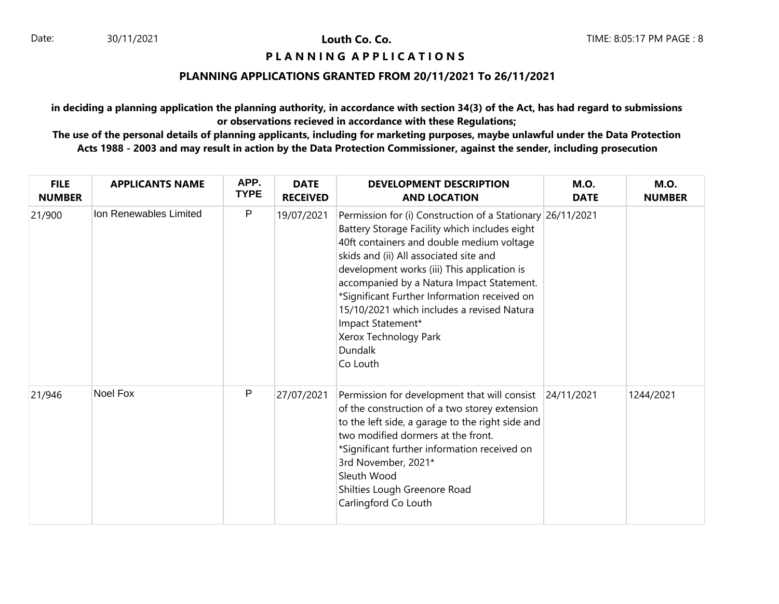## **PIANNING APPLICATIONS**

#### **PLANNING APPLICATIONS GRANTED FROM 20/11/2021 To 26/11/2021**

**in deciding a planning application the planning authority, in accordance with section 34(3) of the Act, has had regard to submissions or observations recieved in accordance with these Regulations;**

| <b>FILE</b><br><b>NUMBER</b> | <b>APPLICANTS NAME</b> | APP.<br><b>TYPE</b> | <b>DATE</b><br><b>RECEIVED</b> | <b>DEVELOPMENT DESCRIPTION</b><br><b>AND LOCATION</b>                                                                                                                                                                                                                                                                                                                                                                                                             | <b>M.O.</b><br><b>DATE</b> | <b>M.O.</b><br><b>NUMBER</b> |
|------------------------------|------------------------|---------------------|--------------------------------|-------------------------------------------------------------------------------------------------------------------------------------------------------------------------------------------------------------------------------------------------------------------------------------------------------------------------------------------------------------------------------------------------------------------------------------------------------------------|----------------------------|------------------------------|
| 21/900                       | Ion Renewables Limited | P                   | 19/07/2021                     | Permission for (i) Construction of a Stationary 26/11/2021<br>Battery Storage Facility which includes eight<br>40ft containers and double medium voltage<br>skids and (ii) All associated site and<br>development works (iii) This application is<br>accompanied by a Natura Impact Statement.<br>*Significant Further Information received on<br>15/10/2021 which includes a revised Natura<br>Impact Statement*<br>Xerox Technology Park<br>Dundalk<br>Co Louth |                            |                              |
| 21/946                       | Noel Fox               | P                   | 27/07/2021                     | Permission for development that will consist 24/11/2021<br>of the construction of a two storey extension<br>to the left side, a garage to the right side and<br>two modified dormers at the front.<br>*Significant further information received on<br>3rd November, 2021*<br>Sleuth Wood<br>Shilties Lough Greenore Road<br>Carlingford Co Louth                                                                                                                  |                            | 1244/2021                    |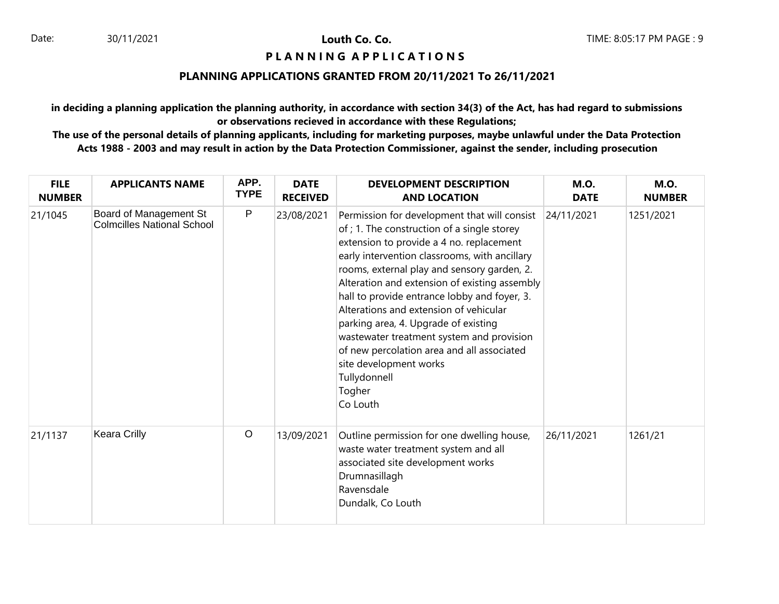## **PIANNING APPLICATIONS**

### **PLANNING APPLICATIONS GRANTED FROM 20/11/2021 To 26/11/2021**

**in deciding a planning application the planning authority, in accordance with section 34(3) of the Act, has had regard to submissions or observations recieved in accordance with these Regulations;**

| <b>FILE</b><br><b>NUMBER</b> | <b>APPLICANTS NAME</b>                                      | APP.<br><b>TYPE</b> | <b>DATE</b><br><b>RECEIVED</b> | <b>DEVELOPMENT DESCRIPTION</b><br><b>AND LOCATION</b>                                                                                                                                                                                                                                                                                                                                                                                                                                                                                                                                 | <b>M.O.</b><br><b>DATE</b> | <b>M.O.</b><br><b>NUMBER</b> |
|------------------------------|-------------------------------------------------------------|---------------------|--------------------------------|---------------------------------------------------------------------------------------------------------------------------------------------------------------------------------------------------------------------------------------------------------------------------------------------------------------------------------------------------------------------------------------------------------------------------------------------------------------------------------------------------------------------------------------------------------------------------------------|----------------------------|------------------------------|
| 21/1045                      | Board of Management St<br><b>Colmcilles National School</b> | ${\sf P}$           | 23/08/2021                     | Permission for development that will consist<br>of ; 1. The construction of a single storey<br>extension to provide a 4 no. replacement<br>early intervention classrooms, with ancillary<br>rooms, external play and sensory garden, 2.<br>Alteration and extension of existing assembly<br>hall to provide entrance lobby and foyer, 3.<br>Alterations and extension of vehicular<br>parking area, 4. Upgrade of existing<br>wastewater treatment system and provision<br>of new percolation area and all associated<br>site development works<br>Tullydonnell<br>Togher<br>Co Louth | 24/11/2021                 | 1251/2021                    |
| 21/1137                      | Keara Crilly                                                | $\circ$             | 13/09/2021                     | Outline permission for one dwelling house,<br>waste water treatment system and all<br>associated site development works<br>Drumnasillagh<br>Ravensdale<br>Dundalk, Co Louth                                                                                                                                                                                                                                                                                                                                                                                                           | 26/11/2021                 | 1261/21                      |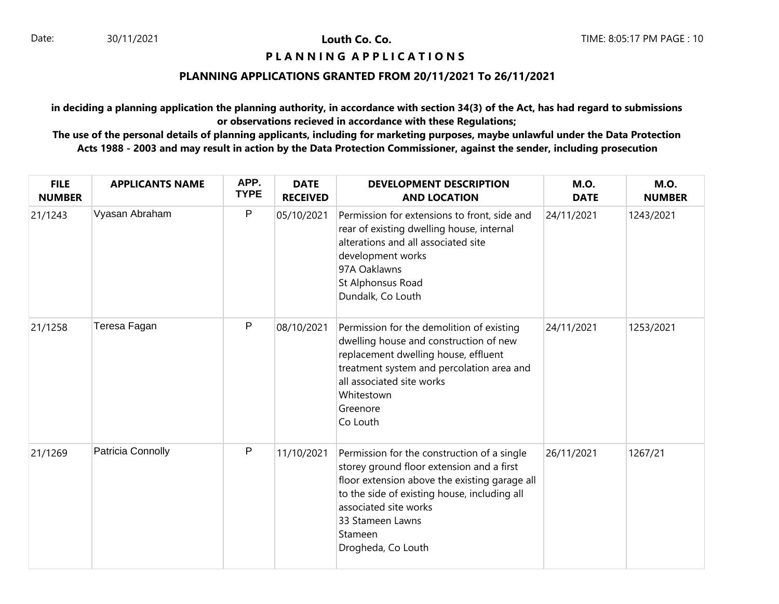## **PIANNING APPLICATIONS**

# **PLANNING APPLICATIONS GRANTED FROM 20/11/2021 To 26/11/2021**

**in deciding a planning application the planning authority, in accordance with section 34(3) of the Act, has had regard to submissions or observations recieved in accordance with these Regulations;**

| <b>FILE</b><br><b>NUMBER</b> | <b>APPLICANTS NAME</b> | APP.<br><b>TYPE</b> | <b>DATE</b><br><b>RECEIVED</b> | <b>DEVELOPMENT DESCRIPTION</b><br><b>AND LOCATION</b>                                                                                                                                                                                                                   | <b>M.O.</b><br><b>DATE</b> | <b>M.O.</b><br><b>NUMBER</b> |
|------------------------------|------------------------|---------------------|--------------------------------|-------------------------------------------------------------------------------------------------------------------------------------------------------------------------------------------------------------------------------------------------------------------------|----------------------------|------------------------------|
| 21/1243                      | Vyasan Abraham         | P                   | 05/10/2021                     | Permission for extensions to front, side and<br>rear of existing dwelling house, internal<br>alterations and all associated site<br>development works<br>97A Oaklawns<br>St Alphonsus Road<br>Dundalk, Co Louth                                                         | 24/11/2021                 | 1243/2021                    |
| 21/1258                      | Teresa Fagan           | P                   | 08/10/2021                     | Permission for the demolition of existing<br>dwelling house and construction of new<br>replacement dwelling house, effluent<br>treatment system and percolation area and<br>all associated site works<br>Whitestown<br>Greenore<br>Co Louth                             | 24/11/2021                 | 1253/2021                    |
| 21/1269                      | Patricia Connolly      | P                   | 11/10/2021                     | Permission for the construction of a single<br>storey ground floor extension and a first<br>floor extension above the existing garage all<br>to the side of existing house, including all<br>associated site works<br>33 Stameen Lawns<br>Stameen<br>Drogheda, Co Louth | 26/11/2021                 | 1267/21                      |